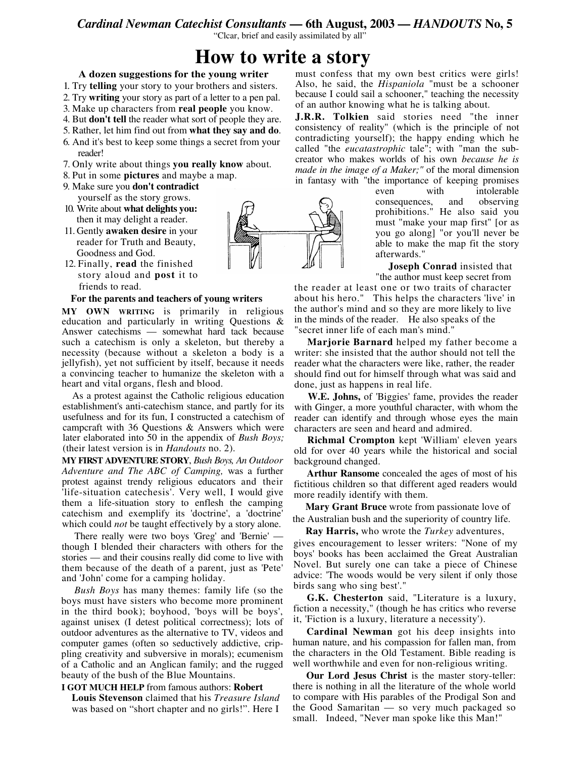## *Cardinal Newman Catechist Consultants* **— 6th August, 2003 —** *HANDOUTS* **No, 5**

"Clcar, brief and easily assimilated by all"

# **How to write a story**

### **A dozen suggestions for the young writer**

1. Try **telling** your story to your brothers and sisters.

- 2. Try **writing** your story as part of a letter to a pen pal.
- 3. Make up characters from **real people** you know.
- 4. But **don't tell** the reader what sort of people they are.
- 5. Rather, let him find out from **what they say and do**.
- 6. And it's best to keep some things a secret from your reader!
- 7. Only write about things **you really know** about.
- 8. Put in some **pictures** and maybe a map.
- 9. Make sure you **don't contradict** yourself as the story grows.
- 10. Write about **what delights you:** then it may delight a reader.
- 11. Gently **awaken desire** in your reader for Truth and Beauty, Goodness and God.
- 12. Finally, **read** the finished story aloud and **post** it to friends to read.

#### **For the parents and teachers of young writers**

**MY OWN WRITING** is primarily in religious education and particularly in writing Questions & Answer catechisms — somewhat hard tack because such a catechism is only a skeleton, but thereby a necessity (because without a skeleton a body is a jellyfish), yet not sufficient by itself, because it needs a convincing teacher to humanize the skeleton with a heart and vital organs, flesh and blood.

As a protest against the Catholic religious education establishment's anti-catechism stance, and partly for its usefulness and for its fun, I constructed a catechism of campcraft with 36 Questions & Answers which were later elaborated into 50 in the appendix of *Bush Boys;* (their latest version is in *Handouts* no. 2).

**MY FIRST ADVENTURE STORY**, *Bush Boys, An Outdoor Adventure and The ABC of Camping,* was a further protest against trendy religious educators and their 'life-situation catechesis'. Very well, I would give them a life-situation story to enflesh the camping catechism and exemplify its 'doctrine', a 'doctrine' which could *not* be taught effectively by a story alone.

There really were two boys 'Greg' and 'Bernie' though I blended their characters with others for the stories — and their cousins really did come to live with them because of the death of a parent, just as 'Pete' and 'John' come for a camping holiday.

*Bush Boys* has many themes: family life (so the boys must have sisters who become more prominent in the third book); boyhood, 'boys will be boys', against unisex (I detest political correctness); lots of outdoor adventures as the alternative to TV, videos and computer games (often so seductively addictive, crippling creativity and subversive in morals); ecumenism of a Catholic and an Anglican family; and the rugged beauty of the bush of the Blue Mountains.

#### **I GOT MUCH HELP** from famous authors: **Robert**

**Louis Stevenson** claimed that his *Treasure Island* was based on "short chapter and no girls!". Here I



must confess that my own best critics were girls! Also, he said, the *Hispaniola* "must be a schooner because I could sail a schooner," teaching the necessity of an author knowing what he is talking about.

**J.R.R. Tolkien** said stories need "the inner consistency of reality" (which is the principle of not contradicting yourself); the happy ending which he called "the *eucatastrophic* tale"; with "man the subcreator who makes worlds of his own *because he is made in the image of a Maker;"* of the moral dimension in fantasy with "the importance of keeping promises

even with intolerable consequences, and observing prohibitions." He also said you must "make your map first" [or as you go along] "or you'll never be able to make the map fit the story afterwards."

**Joseph Conrad** insisted that "the author must keep secret from

the reader at least one or two traits of character about his hero." This helps the characters 'live' in the author's mind and so they are more likely to live in the minds of the reader. He also speaks of the "secret inner life of each man's mind."

**Marjorie Barnard** helped my father become a writer: she insisted that the author should not tell the reader what the characters were like, rather, the reader should find out for himself through what was said and done, just as happens in real life.

**W.E. Johns,** of 'Biggies' fame, provides the reader with Ginger, a more youthful character, with whom the reader can identify and through whose eyes the main characters are seen and heard and admired.

**Richmal Crompton** kept 'William' eleven years old for over 40 years while the historical and social background changed.

**Arthur Ransome** concealed the ages of most of his fictitious children so that different aged readers would more readily identify with them.

**Mary Grant Bruce** wrote from passionate love of the Australian bush and the superiority of country life.

**Ray Harris,** who wrote the *Turkey* adventures,

gives encouragement to lesser writers: "None of my boys' books has been acclaimed the Great Australian Novel. But surely one can take a piece of Chinese advice: 'The woods would be very silent if only those birds sang who sing best'."

**G.K. Chesterton** said, "Literature is a luxury, fiction a necessity," (though he has critics who reverse it, 'Fiction is a luxury, literature a necessity').

**Cardinal Newman** got his deep insights into human nature, and his compassion for fallen man, from the characters in the Old Testament. Bible reading is well worthwhile and even for non-religious writing.

**Our Lord Jesus Christ** is the master story-teller: there is nothing in all the literature of the whole world to compare with His parables of the Prodigal Son and the Good Samaritan — so very much packaged so small. Indeed, "Never man spoke like this Man!"